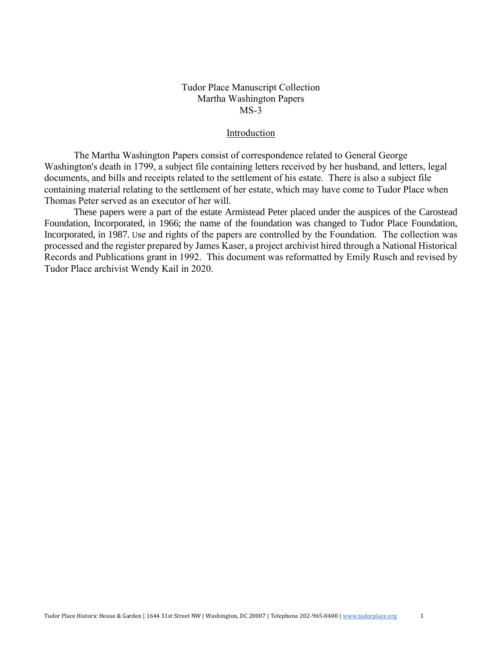#### Introduction

The Martha Washington Papers consist of correspondence related to General George Washington's death in 1799, a subject file containing letters received by her husband, and letters, legal documents, and bills and receipts related to the settlement of his estate. There is also a subject file containing material relating to the settlement of her estate, which may have come to Tudor Place when Thomas Peter served as an executor of her will.

These papers were a part of the estate Armistead Peter placed under the auspices of the Carostead Foundation, Incorporated, in 1966; the name of the foundation was changed to Tudor Place Foundation, Incorporated, in 1987. Use and rights of the papers are controlled by the Foundation. The collection was processed and the register prepared by James Kaser, a project archivist hired through a National Historical Records and Publications grant in 1992. This document was reformatted by Emily Rusch and revised by Tudor Place archivist Wendy Kail in 2020.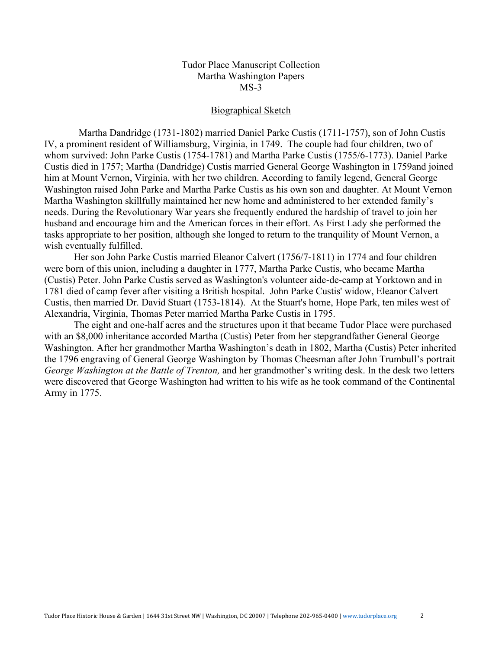#### Biographical Sketch

 Martha Dandridge (1731-1802) married Daniel Parke Custis (1711-1757), son of John Custis IV, a prominent resident of Williamsburg, Virginia, in 1749. The couple had four children, two of whom survived: John Parke Custis (1754-1781) and Martha Parke Custis (1755/6-1773). Daniel Parke Custis died in 1757; Martha (Dandridge) Custis married General George Washington in 1759and joined him at Mount Vernon, Virginia, with her two children. According to family legend, General George Washington raised John Parke and Martha Parke Custis as his own son and daughter. At Mount Vernon Martha Washington skillfully maintained her new home and administered to her extended family's needs. During the Revolutionary War years she frequently endured the hardship of travel to join her husband and encourage him and the American forces in their effort. As First Lady she performed the tasks appropriate to her position, although she longed to return to the tranquility of Mount Vernon, a wish eventually fulfilled.

Her son John Parke Custis married Eleanor Calvert (1756/7-1811) in 1774 and four children were born of this union, including a daughter in 1777, Martha Parke Custis, who became Martha (Custis) Peter. John Parke Custis served as Washington's volunteer aide-de-camp at Yorktown and in 1781 died of camp fever after visiting a British hospital. John Parke Custis' widow, Eleanor Calvert Custis, then married Dr. David Stuart (1753-1814). At the Stuart's home, Hope Park, ten miles west of Alexandria, Virginia, Thomas Peter married Martha Parke Custis in 1795.

The eight and one-half acres and the structures upon it that became Tudor Place were purchased with an \$8,000 inheritance accorded Martha (Custis) Peter from her stepgrandfather General George Washington. After her grandmother Martha Washington's death in 1802, Martha (Custis) Peter inherited the 1796 engraving of General George Washington by Thomas Cheesman after John Trumbull's portrait *George Washington at the Battle of Trenton,* and her grandmother's writing desk. In the desk two letters were discovered that George Washington had written to his wife as he took command of the Continental Army in 1775.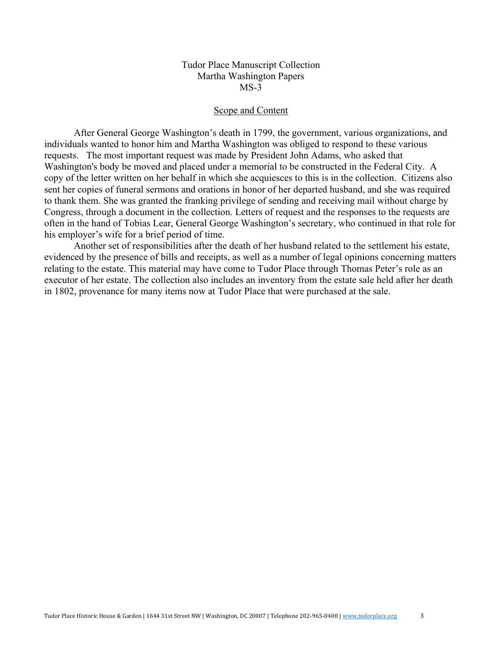#### Scope and Content

After General George Washington's death in 1799, the government, various organizations, and individuals wanted to honor him and Martha Washington was obliged to respond to these various requests. The most important request was made by President John Adams, who asked that Washington's body be moved and placed under a memorial to be constructed in the Federal City. A copy of the letter written on her behalf in which she acquiesces to this is in the collection. Citizens also sent her copies of funeral sermons and orations in honor of her departed husband, and she was required to thank them. She was granted the franking privilege of sending and receiving mail without charge by Congress, through a document in the collection. Letters of request and the responses to the requests are often in the hand of Tobias Lear, General George Washington's secretary, who continued in that role for his employer's wife for a brief period of time.

Another set of responsibilities after the death of her husband related to the settlement his estate, evidenced by the presence of bills and receipts, as well as a number of legal opinions concerning matters relating to the estate. This material may have come to Tudor Place through Thomas Peter's role as an executor of her estate. The collection also includes an inventory from the estate sale held after her death in 1802, provenance for many items now at Tudor Place that were purchased at the sale.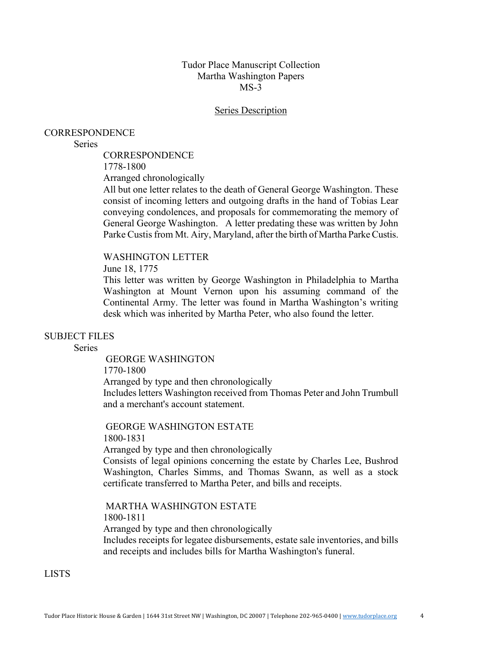#### **Series Description**

#### CORRESPONDENCE

#### **Series**

**CORRESPONDENCE** 

1778-1800

Arranged chronologically

All but one letter relates to the death of General George Washington. These consist of incoming letters and outgoing drafts in the hand of Tobias Lear conveying condolences, and proposals for commemorating the memory of General George Washington. A letter predating these was written by John Parke Custis from Mt. Airy, Maryland, after the birth of Martha Parke Custis.

#### WASHINGTON LETTER

June 18, 1775

This letter was written by George Washington in Philadelphia to Martha Washington at Mount Vernon upon his assuming command of the Continental Army. The letter was found in Martha Washington's writing desk which was inherited by Martha Peter, who also found the letter.

#### SUBJECT FILES

**Series** 

GEORGE WASHINGTON 1770-1800 Arranged by type and then chronologically Includes letters Washington received from Thomas Peter and John Trumbull and a merchant's account statement.

GEORGE WASHINGTON ESTATE 1800-1831

Arranged by type and then chronologically Consists of legal opinions concerning the estate by Charles Lee, Bushrod Washington, Charles Simms, and Thomas Swann, as well as a stock

certificate transferred to Martha Peter, and bills and receipts.

MARTHA WASHINGTON ESTATE 1800-1811 Arranged by type and then chronologically Includes receipts for legatee disbursements, estate sale inventories, and bills and receipts and includes bills for Martha Washington's funeral.

LISTS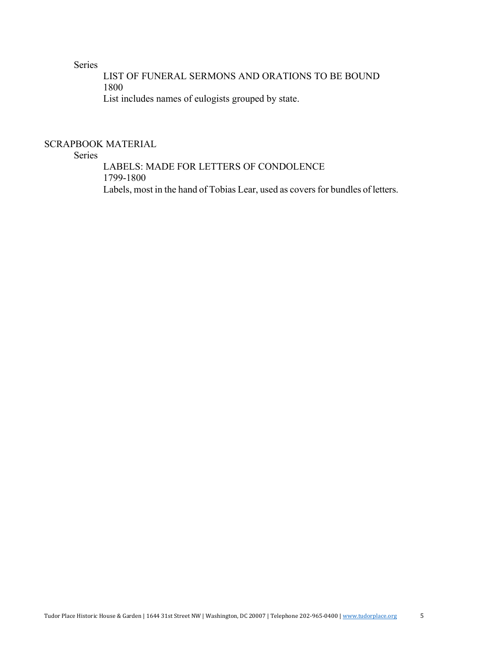Series

LIST OF FUNERAL SERMONS AND ORATIONS TO BE BOUND 1800 List includes names of eulogists grouped by state.

SCRAPBOOK MATERIAL

Series

LABELS: MADE FOR LETTERS OF CONDOLENCE 1799-1800 Labels, most in the hand of Tobias Lear, used as covers for bundles of letters.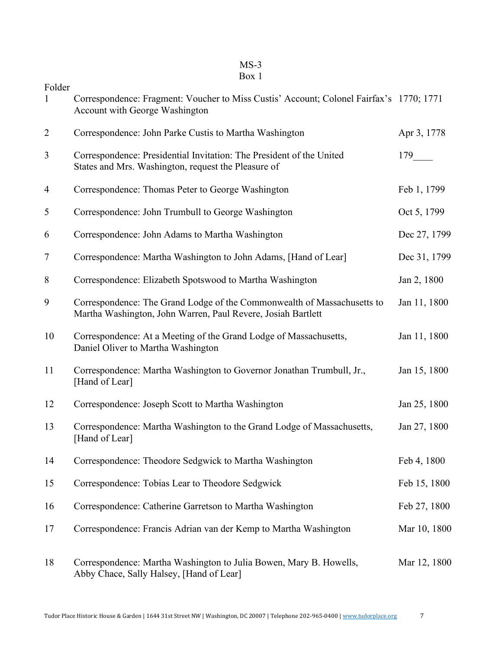## MS-3

### Box 1

| Folder         | Correspondence: Fragment: Voucher to Miss Custis' Account; Colonel Fairfax's 1770; 1771<br>Account with George Washington               |                       |
|----------------|-----------------------------------------------------------------------------------------------------------------------------------------|-----------------------|
| $\overline{2}$ | Correspondence: John Parke Custis to Martha Washington                                                                                  | Apr 3, 1778           |
| 3              | Correspondence: Presidential Invitation: The President of the United<br>States and Mrs. Washington, request the Pleasure of             | $179$ <sub>____</sub> |
| 4              | Correspondence: Thomas Peter to George Washington                                                                                       | Feb 1, 1799           |
| 5              | Correspondence: John Trumbull to George Washington                                                                                      | Oct 5, 1799           |
| 6              | Correspondence: John Adams to Martha Washington                                                                                         | Dec 27, 1799          |
| 7              | Correspondence: Martha Washington to John Adams, [Hand of Lear]                                                                         | Dec 31, 1799          |
| 8              | Correspondence: Elizabeth Spotswood to Martha Washington                                                                                | Jan 2, 1800           |
| 9              | Correspondence: The Grand Lodge of the Commonwealth of Massachusetts to<br>Martha Washington, John Warren, Paul Revere, Josiah Bartlett | Jan 11, 1800          |
| 10             | Correspondence: At a Meeting of the Grand Lodge of Massachusetts,<br>Daniel Oliver to Martha Washington                                 | Jan 11, 1800          |
| 11             | Correspondence: Martha Washington to Governor Jonathan Trumbull, Jr.,<br>[Hand of Lear]                                                 | Jan 15, 1800          |
| 12             | Correspondence: Joseph Scott to Martha Washington                                                                                       | Jan 25, 1800          |
| 13             | Correspondence: Martha Washington to the Grand Lodge of Massachusetts,<br>[Hand of Lear]                                                | Jan 27, 1800          |
| 14             | Correspondence: Theodore Sedgwick to Martha Washington                                                                                  | Feb 4, 1800           |
| 15             | Correspondence: Tobias Lear to Theodore Sedgwick                                                                                        | Feb 15, 1800          |
| 16             | Correspondence: Catherine Garretson to Martha Washington                                                                                | Feb 27, 1800          |
| 17             | Correspondence: Francis Adrian van der Kemp to Martha Washington                                                                        | Mar 10, 1800          |
| 18             | Correspondence: Martha Washington to Julia Bowen, Mary B. Howells,<br>Abby Chace, Sally Halsey, [Hand of Lear]                          | Mar 12, 1800          |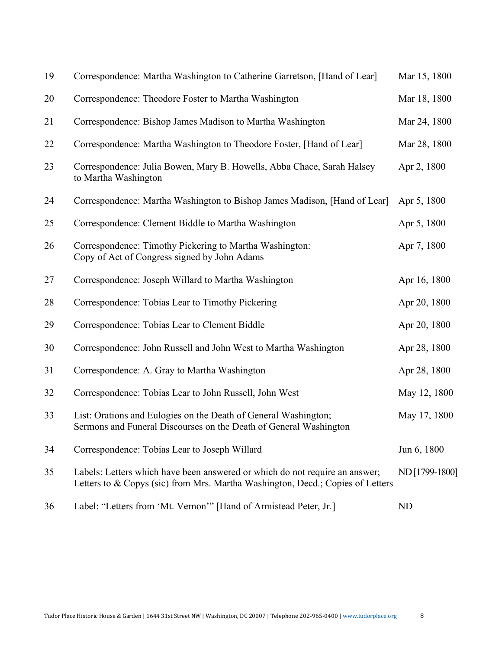| 19 | Correspondence: Martha Washington to Catherine Garretson, [Hand of Lear]                                                                                      | Mar 15, 1800  |
|----|---------------------------------------------------------------------------------------------------------------------------------------------------------------|---------------|
| 20 | Correspondence: Theodore Foster to Martha Washington                                                                                                          | Mar 18, 1800  |
| 21 | Correspondence: Bishop James Madison to Martha Washington                                                                                                     | Mar 24, 1800  |
| 22 | Correspondence: Martha Washington to Theodore Foster, [Hand of Lear]                                                                                          | Mar 28, 1800  |
| 23 | Correspondence: Julia Bowen, Mary B. Howells, Abba Chace, Sarah Halsey<br>to Martha Washington                                                                | Apr 2, 1800   |
| 24 | Correspondence: Martha Washington to Bishop James Madison, [Hand of Lear]                                                                                     | Apr 5, 1800   |
| 25 | Correspondence: Clement Biddle to Martha Washington                                                                                                           | Apr 5, 1800   |
| 26 | Correspondence: Timothy Pickering to Martha Washington:<br>Copy of Act of Congress signed by John Adams                                                       | Apr 7, 1800   |
| 27 | Correspondence: Joseph Willard to Martha Washington                                                                                                           | Apr 16, 1800  |
| 28 | Correspondence: Tobias Lear to Timothy Pickering                                                                                                              | Apr 20, 1800  |
| 29 | Correspondence: Tobias Lear to Clement Biddle                                                                                                                 | Apr 20, 1800  |
| 30 | Correspondence: John Russell and John West to Martha Washington                                                                                               | Apr 28, 1800  |
| 31 | Correspondence: A. Gray to Martha Washington                                                                                                                  | Apr 28, 1800  |
| 32 | Correspondence: Tobias Lear to John Russell, John West                                                                                                        | May 12, 1800  |
| 33 | List: Orations and Eulogies on the Death of General Washington;<br>Sermons and Funeral Discourses on the Death of General Washington                          | May 17, 1800  |
| 34 | Correspondence: Tobias Lear to Joseph Willard                                                                                                                 | Jun 6, 1800   |
| 35 | Labels: Letters which have been answered or which do not require an answer;<br>Letters to & Copys (sic) from Mrs. Martha Washington, Decd.; Copies of Letters | ND[1799-1800] |
| 36 | Label: "Letters from 'Mt. Vernon'" [Hand of Armistead Peter, Jr.]                                                                                             | ND            |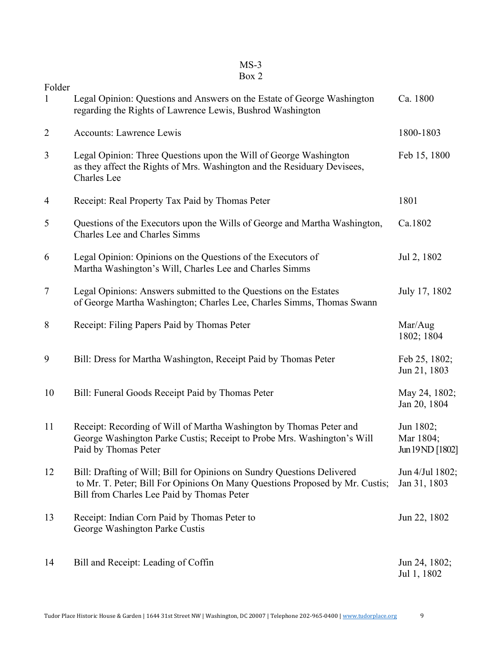# MS-3

| Folder<br>1    | Legal Opinion: Questions and Answers on the Estate of George Washington<br>regarding the Rights of Lawrence Lewis, Bushrod Washington                                                                 | Ca. 1800                                   |
|----------------|-------------------------------------------------------------------------------------------------------------------------------------------------------------------------------------------------------|--------------------------------------------|
| $\overline{2}$ | <b>Accounts: Lawrence Lewis</b>                                                                                                                                                                       | 1800-1803                                  |
| 3              | Legal Opinion: Three Questions upon the Will of George Washington<br>as they affect the Rights of Mrs. Washington and the Residuary Devisees,<br>Charles Lee                                          | Feb 15, 1800                               |
| 4              | Receipt: Real Property Tax Paid by Thomas Peter                                                                                                                                                       | 1801                                       |
| 5              | Questions of the Executors upon the Wills of George and Martha Washington,<br>Charles Lee and Charles Simms                                                                                           | Ca.1802                                    |
| 6              | Legal Opinion: Opinions on the Questions of the Executors of<br>Martha Washington's Will, Charles Lee and Charles Simms                                                                               | Jul 2, 1802                                |
| 7              | Legal Opinions: Answers submitted to the Questions on the Estates<br>of George Martha Washington; Charles Lee, Charles Simms, Thomas Swann                                                            | July 17, 1802                              |
| 8              | Receipt: Filing Papers Paid by Thomas Peter                                                                                                                                                           | Mar/Aug<br>1802; 1804                      |
| 9              | Bill: Dress for Martha Washington, Receipt Paid by Thomas Peter                                                                                                                                       | Feb 25, 1802;<br>Jun 21, 1803              |
| 10             | Bill: Funeral Goods Receipt Paid by Thomas Peter                                                                                                                                                      | May 24, 1802;<br>Jan 20, 1804              |
| 11             | Receipt: Recording of Will of Martha Washington by Thomas Peter and<br>George Washington Parke Custis; Receipt to Probe Mrs. Washington's Will<br>Paid by Thomas Peter                                | Jun 1802;<br>Mar 1804;<br>Jun 19 ND [1802] |
| 12             | Bill: Drafting of Will; Bill for Opinions on Sundry Questions Delivered<br>to Mr. T. Peter; Bill For Opinions On Many Questions Proposed by Mr. Custis;<br>Bill from Charles Lee Paid by Thomas Peter | Jun 4/Jul 1802;<br>Jan 31, 1803            |
| 13             | Receipt: Indian Corn Paid by Thomas Peter to<br>George Washington Parke Custis                                                                                                                        | Jun 22, 1802                               |
| 14             | Bill and Receipt: Leading of Coffin                                                                                                                                                                   | Jun 24, 1802;<br>Jul 1, 1802               |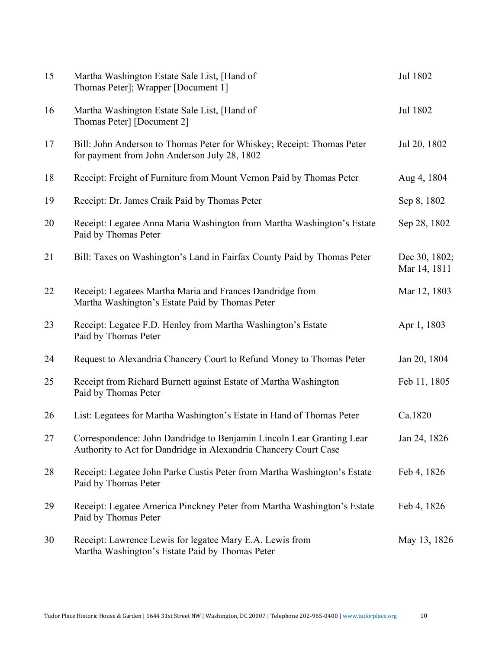| 15 | Martha Washington Estate Sale List, [Hand of<br>Thomas Peter]; Wrapper [Document 1]                                                       | Jul 1802                      |
|----|-------------------------------------------------------------------------------------------------------------------------------------------|-------------------------------|
| 16 | Martha Washington Estate Sale List, [Hand of<br>Thomas Peter] [Document 2]                                                                | Jul 1802                      |
| 17 | Bill: John Anderson to Thomas Peter for Whiskey; Receipt: Thomas Peter<br>for payment from John Anderson July 28, 1802                    | Jul 20, 1802                  |
| 18 | Receipt: Freight of Furniture from Mount Vernon Paid by Thomas Peter                                                                      | Aug 4, 1804                   |
| 19 | Receipt: Dr. James Craik Paid by Thomas Peter                                                                                             | Sep 8, 1802                   |
| 20 | Receipt: Legatee Anna Maria Washington from Martha Washington's Estate<br>Paid by Thomas Peter                                            | Sep 28, 1802                  |
| 21 | Bill: Taxes on Washington's Land in Fairfax County Paid by Thomas Peter                                                                   | Dec 30, 1802;<br>Mar 14, 1811 |
| 22 | Receipt: Legatees Martha Maria and Frances Dandridge from<br>Martha Washington's Estate Paid by Thomas Peter                              | Mar 12, 1803                  |
| 23 | Receipt: Legatee F.D. Henley from Martha Washington's Estate<br>Paid by Thomas Peter                                                      | Apr 1, 1803                   |
| 24 | Request to Alexandria Chancery Court to Refund Money to Thomas Peter                                                                      | Jan 20, 1804                  |
| 25 | Receipt from Richard Burnett against Estate of Martha Washington<br>Paid by Thomas Peter                                                  | Feb 11, 1805                  |
| 26 | List: Legatees for Martha Washington's Estate in Hand of Thomas Peter                                                                     | Ca.1820                       |
| 27 | Correspondence: John Dandridge to Benjamin Lincoln Lear Granting Lear<br>Authority to Act for Dandridge in Alexandria Chancery Court Case | Jan 24, 1826                  |
| 28 | Receipt: Legatee John Parke Custis Peter from Martha Washington's Estate<br>Paid by Thomas Peter                                          | Feb 4, 1826                   |
| 29 | Receipt: Legatee America Pinckney Peter from Martha Washington's Estate<br>Paid by Thomas Peter                                           | Feb 4, 1826                   |
| 30 | Receipt: Lawrence Lewis for legatee Mary E.A. Lewis from<br>Martha Washington's Estate Paid by Thomas Peter                               | May 13, 1826                  |